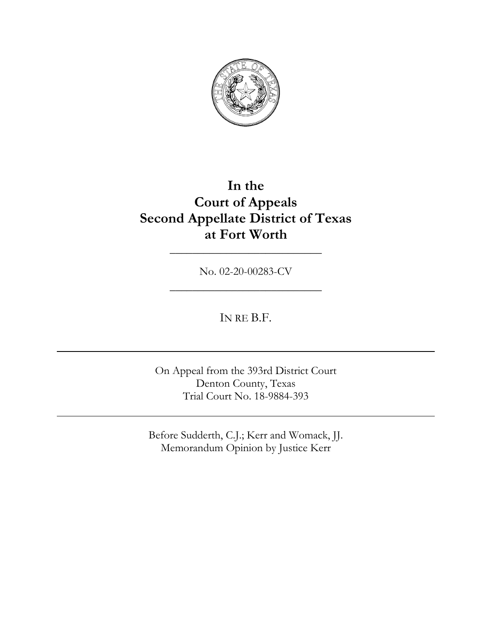

# **In the Court of Appeals Second Appellate District of Texas at Fort Worth**

No. 02-20-00283-CV

\_\_\_\_\_\_\_\_\_\_\_\_\_\_\_\_\_\_\_\_\_\_\_\_\_\_\_

\_\_\_\_\_\_\_\_\_\_\_\_\_\_\_\_\_\_\_\_\_\_\_\_\_\_\_

IN RE B.F.

On Appeal from the 393rd District Court Denton County, Texas Trial Court No. 18-9884-393

Before Sudderth, C.J.; Kerr and Womack, JJ. Memorandum Opinion by Justice Kerr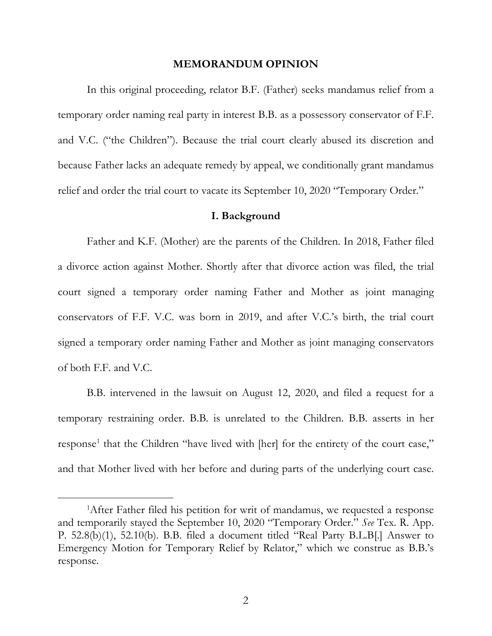# **MEMORANDUM OPINION**

In this original proceeding, relator B.F. (Father) seeks mandamus relief from a temporary order naming real party in interest B.B. as a possessory conservator of F.F. and V.C. ("the Children"). Because the trial court clearly abused its discretion and because Father lacks an adequate remedy by appeal, we conditionally grant mandamus relief and order the trial court to vacate its September 10, 2020 "Temporary Order."

#### **I. Background**

Father and K.F. (Mother) are the parents of the Children. In 2018, Father filed a divorce action against Mother. Shortly after that divorce action was filed, the trial court signed a temporary order naming Father and Mother as joint managing conservators of F.F. V.C. was born in 2019, and after V.C.'s birth, the trial court signed a temporary order naming Father and Mother as joint managing conservators of both F.F. and V.C.

B.B. intervened in the lawsuit on August 12, 2020, and filed a request for a temporary restraining order. B.B. is unrelated to the Children. B.B. asserts in her response<sup>1</sup> that the Children "have lived with [her] for the entirety of the court case," and that Mother lived with her before and during parts of the underlying court case.

<sup>&</sup>lt;sup>1</sup>After Father filed his petition for writ of mandamus, we requested a response and temporarily stayed the September 10, 2020 "Temporary Order." *See* Tex. R. App. P. 52.8(b)(1), 52.10(b). B.B. filed a document titled "Real Party B.L.B[.] Answer to Emergency Motion for Temporary Relief by Relator," which we construe as B.B.'s response.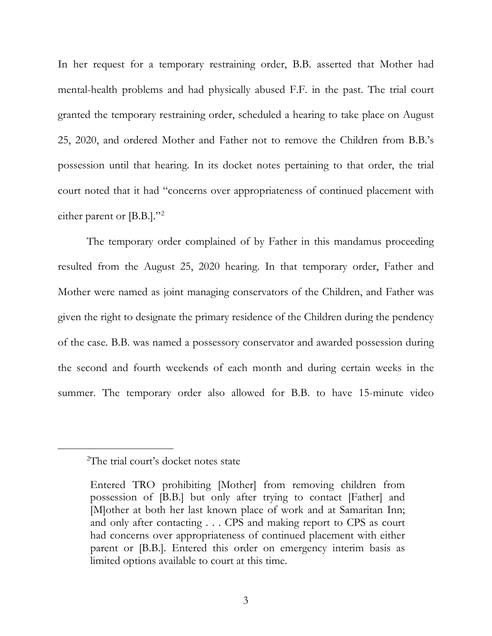In her request for a temporary restraining order, B.B. asserted that Mother had mental-health problems and had physically abused F.F. in the past. The trial court granted the temporary restraining order, scheduled a hearing to take place on August 25, 2020, and ordered Mother and Father not to remove the Children from B.B.'s possession until that hearing. In its docket notes pertaining to that order, the trial court noted that it had "concerns over appropriateness of continued placement with either parent or [B.B.]."2

The temporary order complained of by Father in this mandamus proceeding resulted from the August 25, 2020 hearing. In that temporary order, Father and Mother were named as joint managing conservators of the Children, and Father was given the right to designate the primary residence of the Children during the pendency of the case. B.B. was named a possessory conservator and awarded possession during the second and fourth weekends of each month and during certain weeks in the summer. The temporary order also allowed for B.B. to have 15-minute video

<sup>2</sup> The trial court's docket notes state

Entered TRO prohibiting [Mother] from removing children from possession of [B.B.] but only after trying to contact [Father] and [M]other at both her last known place of work and at Samaritan Inn; and only after contacting . . . CPS and making report to CPS as court had concerns over appropriateness of continued placement with either parent or [B.B.]. Entered this order on emergency interim basis as limited options available to court at this time.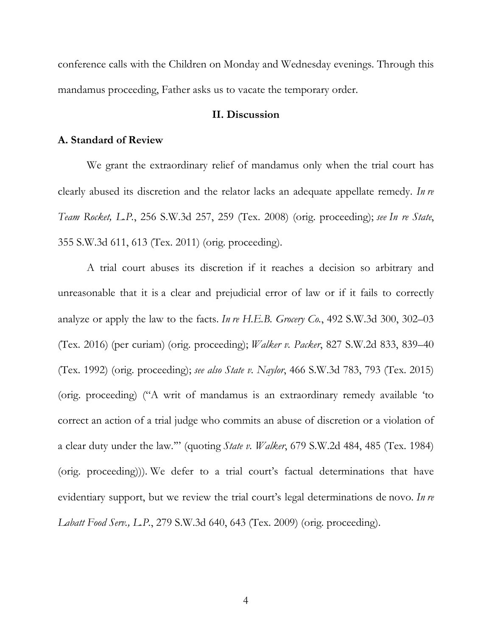conference calls with the Children on Monday and Wednesday evenings. Through this mandamus proceeding, Father asks us to vacate the temporary order.

# **II. Discussion**

## **A. Standard of Review**

We grant the extraordinary relief of mandamus only when the trial court has clearly abused its discretion and the relator lacks an adequate appellate remedy. *In re Team Rocket, L.P.*, 256 S.W.3d 257, 259 (Tex. 2008) (orig. proceeding); *see In re State*, 355 S.W.3d 611, 613 (Tex. 2011) (orig. proceeding).

A trial court abuses its discretion if it reaches a decision so arbitrary and unreasonable that it is a clear and prejudicial error of law or if it fails to correctly analyze or apply the law to the facts. *In re H.E.B. Grocery Co.*, 492 S.W.3d 300, 302–03 (Tex. 2016) (per curiam) (orig. proceeding); *Walker v. Packer*, 827 S.W.2d 833, 839–40 (Tex. 1992) (orig. proceeding); *see also State v. Naylor*, 466 S.W.3d 783, 793 (Tex. 2015) (orig. proceeding) ("A writ of mandamus is an extraordinary remedy available 'to correct an action of a trial judge who commits an abuse of discretion or a violation of a clear duty under the law.'" (quoting *State v. Walker*, 679 S.W.2d 484, 485 (Tex. 1984) (orig. proceeding))). We defer to a trial court's factual determinations that have evidentiary support, but we review the trial court's legal determinations de novo. *In re Labatt Food Serv., L.P.*, 279 S.W.3d 640, 643 (Tex. 2009) (orig. proceeding).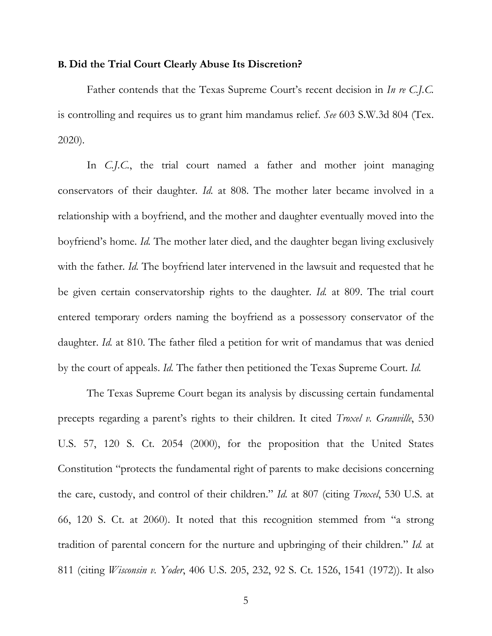#### **B. Did the Trial Court Clearly Abuse Its Discretion?**

Father contends that the Texas Supreme Court's recent decision in *In re C.J.C.* is controlling and requires us to grant him mandamus relief. *See* 603 S.W.3d 804 (Tex. 2020).

In *C.J.C.*, the trial court named a father and mother joint managing conservators of their daughter. *Id.* at 808. The mother later became involved in a relationship with a boyfriend, and the mother and daughter eventually moved into the boyfriend's home. *Id.* The mother later died, and the daughter began living exclusively with the father. *Id.* The boyfriend later intervened in the lawsuit and requested that he be given certain conservatorship rights to the daughter. *Id.* at 809. The trial court entered temporary orders naming the boyfriend as a possessory conservator of the daughter. *Id.* at 810. The father filed a petition for writ of mandamus that was denied by the court of appeals. *Id.* The father then petitioned the Texas Supreme Court. *Id.*

The Texas Supreme Court began its analysis by discussing certain fundamental precepts regarding a parent's rights to their children. It cited *Troxel v. Granville*, 530 U.S. 57, 120 S. Ct. 2054 (2000), for the proposition that the United States Constitution "protects the fundamental right of parents to make decisions concerning the care, custody, and control of their children." *Id.* at 807 (citing *Troxel*, 530 U.S. at 66, 120 S. Ct. at 2060). It noted that this recognition stemmed from "a strong tradition of parental concern for the nurture and upbringing of their children." *Id.* at 811 (citing *Wisconsin v. Yoder*, 406 U.S. 205, 232, 92 S. Ct. 1526, 1541 (1972)). It also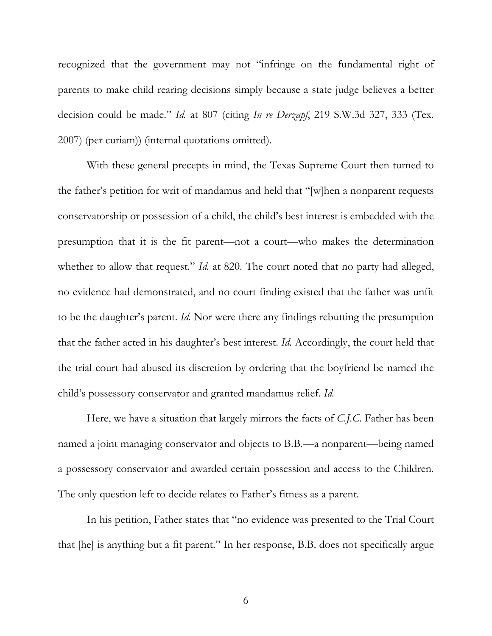recognized that the government may not "infringe on the fundamental right of parents to make child rearing decisions simply because a state judge believes a better decision could be made." *Id.* at 807 (citing *In re Derzapf*, 219 S.W.3d 327, 333 (Tex. 2007) (per curiam)) (internal quotations omitted).

With these general precepts in mind, the Texas Supreme Court then turned to the father's petition for writ of mandamus and held that "[w]hen a nonparent requests conservatorship or possession of a child, the child's best interest is embedded with the presumption that it is the fit parent—not a court—who makes the determination whether to allow that request." *Id.* at 820. The court noted that no party had alleged, no evidence had demonstrated, and no court finding existed that the father was unfit to be the daughter's parent. *Id.* Nor were there any findings rebutting the presumption that the father acted in his daughter's best interest. *Id.* Accordingly, the court held that the trial court had abused its discretion by ordering that the boyfriend be named the child's possessory conservator and granted mandamus relief. *Id.*

Here, we have a situation that largely mirrors the facts of *C.J.C.* Father has been named a joint managing conservator and objects to B.B.—a nonparent—being named a possessory conservator and awarded certain possession and access to the Children. The only question left to decide relates to Father's fitness as a parent.

In his petition, Father states that "no evidence was presented to the Trial Court that [he] is anything but a fit parent." In her response, B.B. does not specifically argue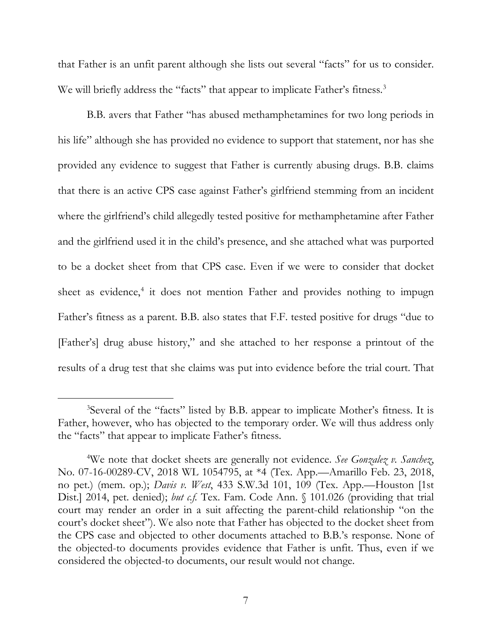that Father is an unfit parent although she lists out several "facts" for us to consider. We will briefly address the "facts" that appear to implicate Father's fitness.<sup>3</sup>

B.B. avers that Father "has abused methamphetamines for two long periods in his life" although she has provided no evidence to support that statement, nor has she provided any evidence to suggest that Father is currently abusing drugs. B.B. claims that there is an active CPS case against Father's girlfriend stemming from an incident where the girlfriend's child allegedly tested positive for methamphetamine after Father and the girlfriend used it in the child's presence, and she attached what was purported to be a docket sheet from that CPS case. Even if we were to consider that docket sheet as evidence,<sup>4</sup> it does not mention Father and provides nothing to impugn Father's fitness as a parent. B.B. also states that F.F. tested positive for drugs "due to [Father's] drug abuse history," and she attached to her response a printout of the results of a drug test that she claims was put into evidence before the trial court. That

<sup>3</sup> Several of the "facts" listed by B.B. appear to implicate Mother's fitness. It is Father, however, who has objected to the temporary order. We will thus address only the "facts" that appear to implicate Father's fitness.

<sup>4</sup> We note that docket sheets are generally not evidence. *See Gonzalez v. Sanchez*, No. 07-16-00289-CV, 2018 WL 1054795, at \*4 (Tex. App.—Amarillo Feb. 23, 2018, no pet.) (mem. op.); *Davis v. West*, 433 S.W.3d 101, 109 (Tex. App.—Houston [1st Dist.] 2014, pet. denied); *but c.f.* Tex. Fam. Code Ann. § 101.026 (providing that trial court may render an order in a suit affecting the parent-child relationship "on the court's docket sheet"). We also note that Father has objected to the docket sheet from the CPS case and objected to other documents attached to B.B.'s response. None of the objected-to documents provides evidence that Father is unfit. Thus, even if we considered the objected-to documents, our result would not change.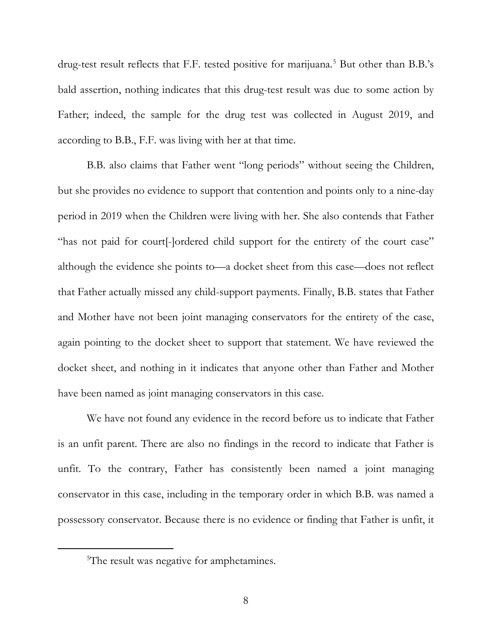drug-test result reflects that F.F. tested positive for marijuana.<sup>5</sup> But other than B.B.'s bald assertion, nothing indicates that this drug-test result was due to some action by Father; indeed, the sample for the drug test was collected in August 2019, and according to B.B., F.F. was living with her at that time.

B.B. also claims that Father went "long periods" without seeing the Children, but she provides no evidence to support that contention and points only to a nine-day period in 2019 when the Children were living with her. She also contends that Father "has not paid for court[-]ordered child support for the entirety of the court case" although the evidence she points to—a docket sheet from this case—does not reflect that Father actually missed any child-support payments. Finally, B.B. states that Father and Mother have not been joint managing conservators for the entirety of the case, again pointing to the docket sheet to support that statement. We have reviewed the docket sheet, and nothing in it indicates that anyone other than Father and Mother have been named as joint managing conservators in this case.

We have not found any evidence in the record before us to indicate that Father is an unfit parent. There are also no findings in the record to indicate that Father is unfit. To the contrary, Father has consistently been named a joint managing conservator in this case, including in the temporary order in which B.B. was named a possessory conservator. Because there is no evidence or finding that Father is unfit, it

<sup>&</sup>lt;sup>5</sup>The result was negative for amphetamines.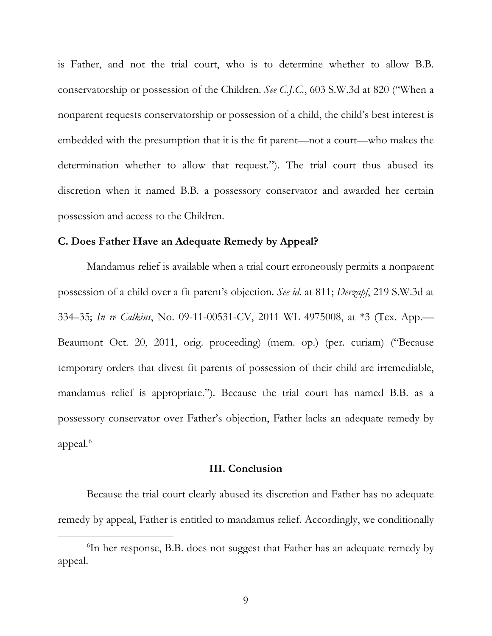is Father, and not the trial court, who is to determine whether to allow B.B. conservatorship or possession of the Children. *See C.J.C.*, 603 S.W.3d at 820 ("When a nonparent requests conservatorship or possession of a child, the child's best interest is embedded with the presumption that it is the fit parent—not a court—who makes the determination whether to allow that request."). The trial court thus abused its discretion when it named B.B. a possessory conservator and awarded her certain possession and access to the Children.

## **C. Does Father Have an Adequate Remedy by Appeal?**

Mandamus relief is available when a trial court erroneously permits a nonparent possession of a child over a fit parent's objection. *See id.* at 811; *Derzapf*, 219 S.W.3d at 334–35; *In re Calkins*, No. 09-11-00531-CV, 2011 WL 4975008, at \*3 (Tex. App.— Beaumont Oct. 20, 2011, orig. proceeding) (mem. op.) (per. curiam) ("Because temporary orders that divest fit parents of possession of their child are irremediable, mandamus relief is appropriate."). Because the trial court has named B.B. as a possessory conservator over Father's objection, Father lacks an adequate remedy by appeal. 6

## **III. Conclusion**

Because the trial court clearly abused its discretion and Father has no adequate remedy by appeal, Father is entitled to mandamus relief. Accordingly, we conditionally

<sup>6</sup> In her response, B.B. does not suggest that Father has an adequate remedy by appeal.